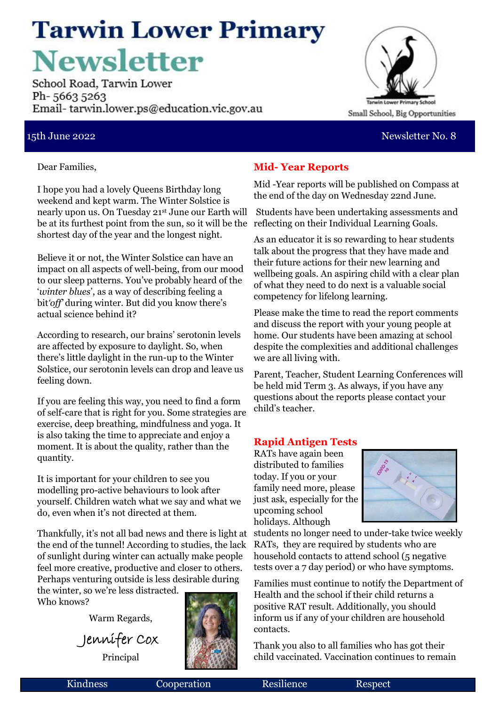### **Tarwin Lower Primary Newsletter**

School Road, Tarwin Lower Ph-56635263 Email-tarwin.lower.ps@education.vic.gov.au



#### 15th June 2022 Newsletter No. 8

Dear Families,

I hope you had a lovely Queens Birthday long weekend and kept warm. The Winter Solstice is nearly upon us. On Tuesday 21st June our Earth will be at its furthest point from the sun, so it will be the reflecting on their Individual Learning Goals. shortest day of the year and the longest night.

Believe it or not, the Winter Solstice can have an impact on all aspects of well-being, from our mood to our sleep patterns. You've probably heard of the '*winter blues*', as a way of describing feeling a bit*'off'* during winter. But did you know there's actual science behind it?

According to research, our brains' serotonin levels are affected by exposure to daylight. So, when there's little daylight in the run-up to the Winter Solstice, our serotonin levels can drop and leave us feeling down.

If you are feeling this way, you need to find a form of self-care that is right for you. Some strategies are exercise, deep breathing, mindfulness and yoga. It is also taking the time to appreciate and enjoy a moment. It is about the quality, rather than the quantity.

It is important for your children to see you modelling pro-active behaviours to look after yourself. Children watch what we say and what we do, even when it's not directed at them.

Thankfully, it's not all bad news and there is light at the end of the tunnel! According to studies, the lack of sunlight during winter can actually make people feel more creative, productive and closer to others. Perhaps venturing outside is less desirable during

the winter, so we're less distracted. Who knows?

Warm Regards,

Jennifer Cox Principal

#### **Mid- Year Reports**

Mid -Year reports will be published on Compass at the end of the day on Wednesday 22nd June.

Students have been undertaking assessments and

As an educator it is so rewarding to hear students talk about the progress that they have made and their future actions for their new learning and wellbeing goals. An aspiring child with a clear plan of what they need to do next is a valuable social competency for lifelong learning.

Please make the time to read the report comments and discuss the report with your young people at home. Our students have been amazing at school despite the complexities and additional challenges we are all living with.

Parent, Teacher, Student Learning Conferences will be held mid Term 3. As always, if you have any questions about the reports please contact your child's teacher.

#### **Rapid Antigen Tests**

RATs have again been distributed to families today. If you or your family need more, please just ask, especially for the upcoming school holidays. Although



students no longer need to under-take twice weekly RATs, they are required by students who are household contacts to attend school (5 negative tests over a 7 day period) or who have symptoms.

Families must continue to notify the Department of Health and the school if their child returns a positive RAT result. Additionally, you should inform us if any of your children are household contacts.

Thank you also to all families who has got their child vaccinated. Vaccination continues to remain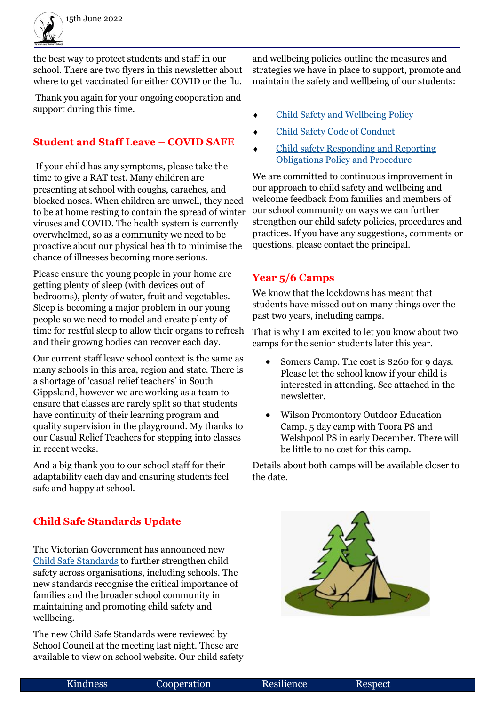the best way to protect students and staff in our school. There are two flyers in this newsletter about where to get vaccinated for either COVID or the flu.

Thank you again for your ongoing cooperation and support during this time.

#### **Student and Staff Leave – COVID SAFE**

If your child has any symptoms, please take the time to give a RAT test. Many children are presenting at school with coughs, earaches, and blocked noses. When children are unwell, they need to be at home resting to contain the spread of winter viruses and COVID. The health system is currently overwhelmed, so as a community we need to be proactive about our physical health to minimise the chance of illnesses becoming more serious.

Please ensure the young people in your home are getting plenty of sleep (with devices out of bedrooms), plenty of water, fruit and vegetables. Sleep is becoming a major problem in our young people so we need to model and create plenty of time for restful sleep to allow their organs to refresh and their growng bodies can recover each day.

Our current staff leave school context is the same as many schools in this area, region and state. There is a shortage of 'casual relief teachers' in South Gippsland, however we are working as a team to ensure that classes are rarely split so that students have continuity of their learning program and quality supervision in the playground. My thanks to our Casual Relief Teachers for stepping into classes in recent weeks.

And a big thank you to our school staff for their adaptability each day and ensuring students feel safe and happy at school.

#### **Child Safe Standards Update**

The Victorian Government has announced new [Child Safe Standards](https://ccyp.vic.gov.au/news/new-child-safe-standards-start-in-victoria-on-1-july-2022-to-better-protect-children/) to further strengthen child safety across organisations, including schools. The new standards recognise the critical importance of families and the broader school community in maintaining and promoting child safety and wellbeing.

The new Child Safe Standards were reviewed by School Council at the meeting last night. These are available to view on school website. Our child safety and wellbeing policies outline the measures and strategies we have in place to support, promote and maintain the safety and wellbeing of our students:

- [Child Safety and Wellbeing Policy](file:///U:/Policies/Policies Ratified in 2022/Child Safe/Child-safety-policy-2022.pdf)
- [Child Safety Code of Conduct](file:///U:/Policies/Policies Ratified in 2022/Child Safe/Child Safe Code of Conduct 2022.pdf)
- [Child safety Responding and Reporting](file:///U:/Policies/Policies Ratified in 2022/Child Safe/Child Safety Responding and Reporting Obligations Policy and Procedures  2022.pdf)  [Obligations Policy and Procedure](file:///U:/Policies/Policies Ratified in 2022/Child Safe/Child Safety Responding and Reporting Obligations Policy and Procedures - 2022.pdf)

We are committed to continuous improvement in our approach to child safety and wellbeing and welcome feedback from families and members of our school community on ways we can further strengthen our child safety policies, procedures and practices. If you have any suggestions, comments or questions, please contact the principal.

#### **Year 5/6 Camps**

We know that the lockdowns has meant that students have missed out on many things over the past two years, including camps.

That is why I am excited to let you know about two camps for the senior students later this year.

- Somers Camp. The cost is \$260 for 9 days. Please let the school know if your child is interested in attending. See attached in the newsletter.
- Wilson Promontory Outdoor Education Camp. 5 day camp with Toora PS and Welshpool PS in early December. There will be little to no cost for this camp.

Details about both camps will be available closer to the date.

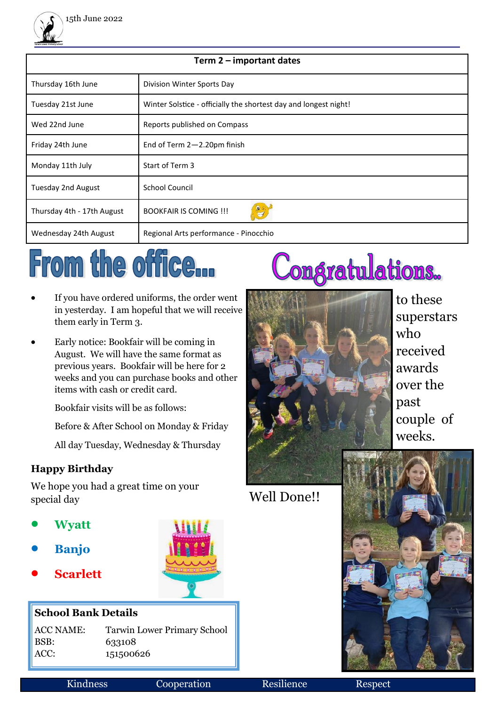

| Term 2 – important dates   |                                                                  |
|----------------------------|------------------------------------------------------------------|
| Thursday 16th June         | Division Winter Sports Day                                       |
| Tuesday 21st June          | Winter Solstice - officially the shortest day and longest night! |
| Wed 22nd June              | Reports published on Compass                                     |
| Friday 24th June           | End of Term $2 - 2.20$ pm finish                                 |
| Monday 11th July           | Start of Term 3                                                  |
| Tuesday 2nd August         | <b>School Council</b>                                            |
| Thursday 4th - 17th August | <b>BOOKFAIR IS COMING !!!</b>                                    |
| Wednesday 24th August      | Regional Arts performance - Pinocchio                            |

# From the office...

- If you have ordered uniforms, the order went in yesterday. I am hopeful that we will receive them early in Term 3.
- Early notice: Bookfair will be coming in August. We will have the same format as previous years. Bookfair will be here for 2 weeks and you can purchase books and other items with cash or credit card.

Bookfair visits will be as follows:

Before & After School on Monday & Friday

All day Tuesday, Wednesday & Thursday

### **Happy Birthday**

We hope you had a great time on your special day

- **Wyatt**
- **Banjo**
- **Scarlett**

#### **School Bank Details**

BSB: 633108

ACC NAME: Tarwin Lower Primary School ACC: 151500626

## Congratulations.



to these superstars who received awards over the past couple of weeks.

Well Done!!



Kindness Cooperation Resilience Respect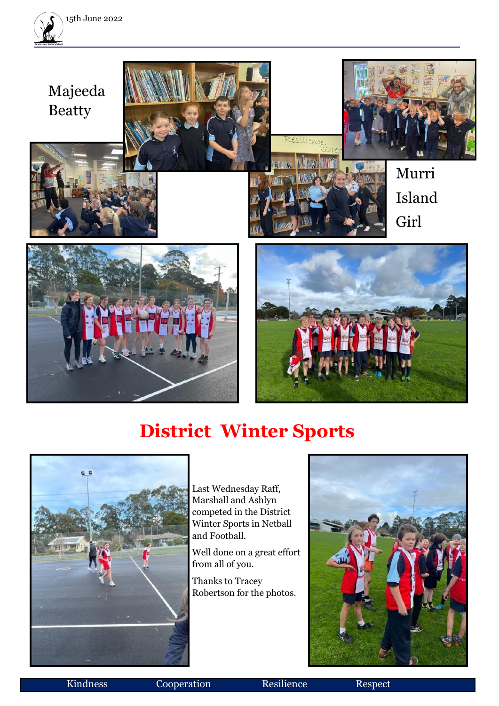



### **District Winter Sports**



Last Wednesday Raff, Marshall and Ashlyn competed in the District Winter Sports in Netball and Football.

Well done on a great effort from all of you.

Thanks to Tracey Robertson for the photos.